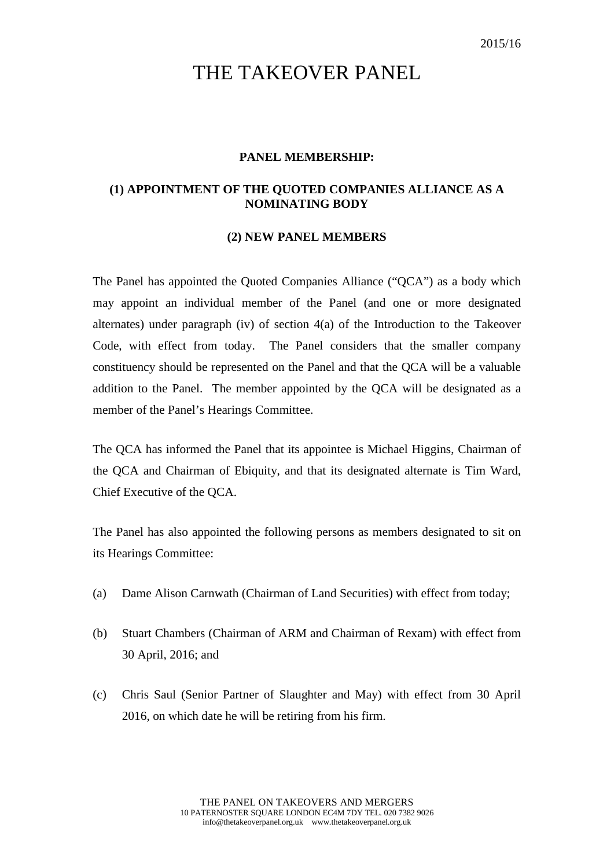## THE TAKEOVER PANEL

## **PANEL MEMBERSHIP:**

## **(1) APPOINTMENT OF THE QUOTED COMPANIES ALLIANCE AS A NOMINATING BODY**

## **(2) NEW PANEL MEMBERS**

The Panel has appointed the Quoted Companies Alliance ("QCA") as a body which may appoint an individual member of the Panel (and one or more designated alternates) under paragraph (iv) of section 4(a) of the Introduction to the Takeover Code, with effect from today. The Panel considers that the smaller company constituency should be represented on the Panel and that the QCA will be a valuable addition to the Panel. The member appointed by the QCA will be designated as a member of the Panel's Hearings Committee.

The QCA has informed the Panel that its appointee is Michael Higgins, Chairman of the QCA and Chairman of Ebiquity, and that its designated alternate is Tim Ward, Chief Executive of the QCA.

The Panel has also appointed the following persons as members designated to sit on its Hearings Committee:

- (a) Dame Alison Carnwath (Chairman of Land Securities) with effect from today;
- (b) Stuart Chambers (Chairman of ARM and Chairman of Rexam) with effect from 30 April, 2016; and
- (c) Chris Saul (Senior Partner of Slaughter and May) with effect from 30 April 2016, on which date he will be retiring from his firm.